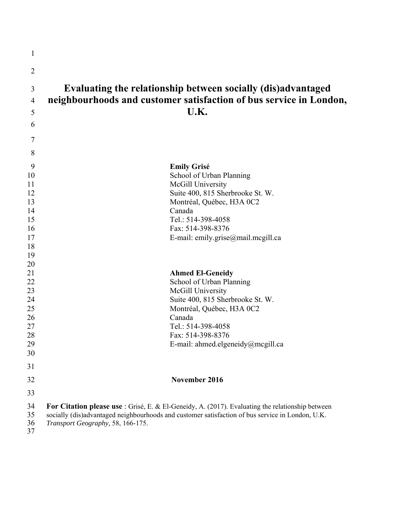| 1                    |                                                                                                                                                                                                                                           |
|----------------------|-------------------------------------------------------------------------------------------------------------------------------------------------------------------------------------------------------------------------------------------|
| $\overline{2}$       |                                                                                                                                                                                                                                           |
| 3                    | Evaluating the relationship between socially (dis)advantaged                                                                                                                                                                              |
| $\overline{4}$       | neighbourhoods and customer satisfaction of bus service in London,                                                                                                                                                                        |
| 5                    | U.K.                                                                                                                                                                                                                                      |
| 6                    |                                                                                                                                                                                                                                           |
| 7                    |                                                                                                                                                                                                                                           |
| 8                    |                                                                                                                                                                                                                                           |
| 9                    | <b>Emily Grisé</b>                                                                                                                                                                                                                        |
| 10                   | School of Urban Planning                                                                                                                                                                                                                  |
| 11                   | McGill University                                                                                                                                                                                                                         |
| 12                   | Suite 400, 815 Sherbrooke St. W.                                                                                                                                                                                                          |
| 13                   | Montréal, Québec, H3A 0C2                                                                                                                                                                                                                 |
| 14                   | Canada                                                                                                                                                                                                                                    |
| 15                   | Tel.: 514-398-4058                                                                                                                                                                                                                        |
| 16                   | Fax: 514-398-8376                                                                                                                                                                                                                         |
| 17                   | E-mail: emily.grise@mail.mcgill.ca                                                                                                                                                                                                        |
| 18                   |                                                                                                                                                                                                                                           |
| 19                   |                                                                                                                                                                                                                                           |
| 20                   |                                                                                                                                                                                                                                           |
| 21                   | <b>Ahmed El-Geneidy</b>                                                                                                                                                                                                                   |
| 22                   | School of Urban Planning                                                                                                                                                                                                                  |
| 23                   | McGill University                                                                                                                                                                                                                         |
| 24                   | Suite 400, 815 Sherbrooke St. W.                                                                                                                                                                                                          |
| 25                   | Montréal, Québec, H3A 0C2                                                                                                                                                                                                                 |
| 26                   | Canada                                                                                                                                                                                                                                    |
| 27                   | Tel.: 514-398-4058                                                                                                                                                                                                                        |
| 28                   | Fax: 514-398-8376                                                                                                                                                                                                                         |
| 29                   | E-mail: ahmed.elgeneidy@mcgill.ca                                                                                                                                                                                                         |
| 30                   |                                                                                                                                                                                                                                           |
| 31                   |                                                                                                                                                                                                                                           |
| 32                   | November 2016                                                                                                                                                                                                                             |
| 33                   |                                                                                                                                                                                                                                           |
| 34<br>35<br>36<br>37 | For Citation please use : Grisé, E. & El-Geneidy, A. (2017). Evaluating the relationship between<br>socially (dis)advantaged neighbourhoods and customer satisfaction of bus service in London, U.K.<br>Transport Geography, 58, 166-175. |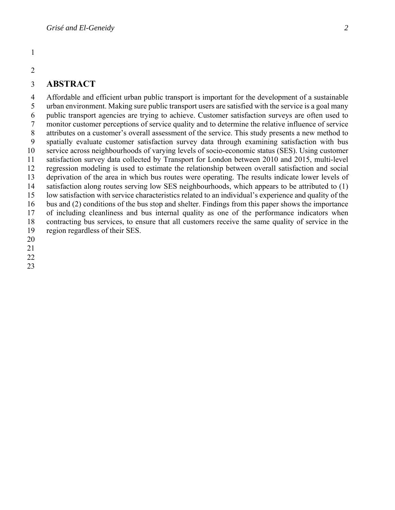#### 1

2

# 3 **ABSTRACT**

4 Affordable and efficient urban public transport is important for the development of a sustainable 5 urban environment. Making sure public transport users are satisfied with the service is a goal many 6 public transport agencies are trying to achieve. Customer satisfaction surveys are often used to 7 monitor customer perceptions of service quality and to determine the relative influence of service 8 attributes on a customer's overall assessment of the service. This study presents a new method to 9 spatially evaluate customer satisfaction survey data through examining satisfaction with bus 10 service across neighbourhoods of varying levels of socio-economic status (SES). Using customer 11 satisfaction survey data collected by Transport for London between 2010 and 2015, multi-level 12 regression modeling is used to estimate the relationship between overall satisfaction and social 13 deprivation of the area in which bus routes were operating. The results indicate lower levels of 14 satisfaction along routes serving low SES neighbourhoods, which appears to be attributed to (1) 15 low satisfaction with service characteristics related to an individual's experience and quality of the 16 bus and (2) conditions of the bus stop and shelter. Findings from this paper shows the importance 17 of including cleanliness and bus internal quality as one of the performance indicators when 18 contracting bus services, to ensure that all customers receive the same quality of service in the 19 region regardless of their SES.

20

21

22

23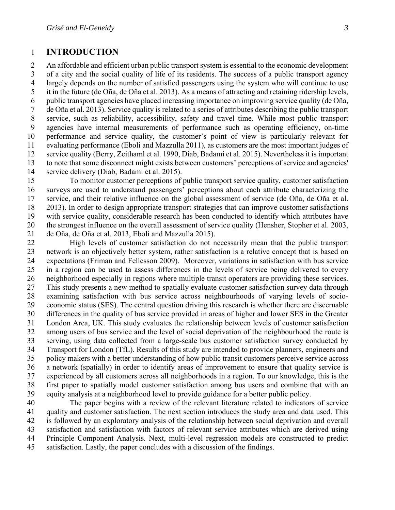### 1 **INTRODUCTION**

2 An affordable and efficient urban public transport system is essential to the economic development 3 of a city and the social quality of life of its residents. The success of a public transport agency 4 largely depends on the number of satisfied passengers using the system who will continue to use 5 it in the future (de Oña, de Oña et al. 2013). As a means of attracting and retaining ridership levels, 6 public transport agencies have placed increasing importance on improving service quality (de Oña, 7 de Oña et al. 2013). Service quality is related to a series of attributes describing the public transport 8 service, such as reliability, accessibility, safety and travel time. While most public transport 9 agencies have internal measurements of performance such as operating efficiency, on-time 10 performance and service quality, the customer's point of view is particularly relevant for 11 evaluating performance (Eboli and Mazzulla 2011), as customers are the most important judges of 12 service quality (Berry, Zeithaml et al. 1990, Diab, Badami et al. 2015). Nevertheless it is important 13 to note that some disconnect might exists between customers' perceptions of service and agencies' 14 service delivery (Diab, Badami et al. 2015).

15 To monitor customer perceptions of public transport service quality, customer satisfaction 16 surveys are used to understand passengers' perceptions about each attribute characterizing the 17 service, and their relative influence on the global assessment of service (de Oña, de Oña et al. 18 2013). In order to design appropriate transport strategies that can improve customer satisfactions 19 with service quality, considerable research has been conducted to identify which attributes have 20 the strongest influence on the overall assessment of service quality (Hensher, Stopher et al. 2003, 21 de Oña, de Oña et al. 2013, Eboli and Mazzulla 2015).

22 High levels of customer satisfaction do not necessarily mean that the public transport 23 network is an objectively better system, rather satisfaction is a relative concept that is based on 24 expectations (Friman and Fellesson 2009). Moreover, variations in satisfaction with bus service 25 in a region can be used to assess differences in the levels of service being delivered to every 26 neighborhood especially in regions where multiple transit operators are providing these services. 27 This study presents a new method to spatially evaluate customer satisfaction survey data through 28 examining satisfaction with bus service across neighbourhoods of varying levels of socio-29 economic status (SES). The central question driving this research is whether there are discernable 30 differences in the quality of bus service provided in areas of higher and lower SES in the Greater 31 London Area, UK. This study evaluates the relationship between levels of customer satisfaction 32 among users of bus service and the level of social deprivation of the neighbourhood the route is 33 serving, using data collected from a large-scale bus customer satisfaction survey conducted by 34 Transport for London (TfL). Results of this study are intended to provide planners, engineers and 35 policy makers with a better understanding of how public transit customers perceive service across 36 a network (spatially) in order to identify areas of improvement to ensure that quality service is 37 experienced by all customers across all neighborhoods in a region. To our knowledge, this is the 38 first paper to spatially model customer satisfaction among bus users and combine that with an 39 equity analysis at a neighborhood level to provide guidance for a better public policy.

40 The paper begins with a review of the relevant literature related to indicators of service 41 quality and customer satisfaction. The next section introduces the study area and data used. This 42 is followed by an exploratory analysis of the relationship between social deprivation and overall 43 satisfaction and satisfaction with factors of relevant service attributes which are derived using 44 Principle Component Analysis. Next, multi-level regression models are constructed to predict 45 satisfaction. Lastly, the paper concludes with a discussion of the findings.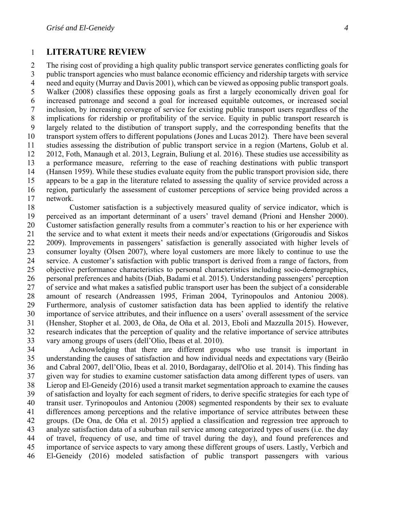#### 1 **LITERATURE REVIEW**

2 The rising cost of providing a high quality public transport service generates conflicting goals for 3 public transport agencies who must balance economic efficiency and ridership targets with service 4 need and equity (Murray and Davis 2001), which can be viewed as opposing public transport goals. 5 Walker (2008) classifies these opposing goals as first a largely economically driven goal for 6 increased patronage and second a goal for increased equitable outcomes, or increased social 7 inclusion, by increasing coverage of service for existing public transport users regardless of the 8 implications for ridership or profitability of the service. Equity in public transport research is 9 largely related to the distibution of transport supply, and the corresponding benefits that the 10 transport system offers to different populations (Jones and Lucas 2012). There have been several 11 studies assessing the distribution of public transport service in a region (Martens, Golub et al. 12 2012, Foth, Manaugh et al. 2013, Legrain, Buliung et al. 2016). These studies use accessibility as 13 a performance measure, referring to the ease of reaching destinations with public transport 14 (Hansen 1959). While these studies evaluate equity from the public transport provision side, there 15 appears to be a gap in the literature related to assessing the quality of service provided across a 16 region, particularly the assessment of customer perceptions of service being provided across a 17 network.

18 Customer satisfaction is a subjectively measured quality of service indicator, which is 19 perceived as an important determinant of a users' travel demand (Prioni and Hensher 2000). 20 Customer satisfaction generally results from a commuter's reaction to his or her experience with 21 the service and to what extent it meets their needs and/or expectations (Grigoroudis and Siskos 22 2009). Improvements in passengers' satisfaction is generally associated with higher levels of 23 consumer loyalty (Olsen 2007), where loyal customers are more likely to continue to use the 24 service. A customer's satisfaction with public transport is derived from a range of factors, from 25 objective performance characteristics to personal characteristics including socio-demographics, 26 personal preferences and habits (Diab, Badami et al. 2015). Understanding passengers' perception 27 of service and what makes a satisfied public transport user has been the subject of a considerable 28 amount of research (Andreassen 1995, Friman 2004, Tyrinopoulos and Antoniou 2008). 29 Furthermore, analysis of customer satisfaction data has been applied to identify the relative 30 importance of service attributes, and their influence on a users' overall assessment of the service 31 (Hensher, Stopher et al. 2003, de Oña, de Oña et al. 2013, Eboli and Mazzulla 2015). However, 32 research indicates that the perception of quality and the relative importance of service attributes 33 vary among groups of users (dell'Olio, Ibeas et al. 2010).

34 Acknowledging that there are different groups who use transit is important in 35 understanding the causes of satisfaction and how individual needs and expectations vary (Beirão 36 and Cabral 2007, dell'Olio, Ibeas et al. 2010, Bordagaray, dell'Olio et al. 2014). This finding has 37 given way for studies to examine customer satisfaction data among different types of users. van 38 Lierop and El-Geneidy (2016) used a transit market segmentation approach to examine the causes 39 of satisfaction and loyalty for each segment of riders, to derive specific strategies for each type of 40 transit user. Tyrinopoulos and Antoniou (2008) segmented respondents by their sex to evaluate 41 differences among perceptions and the relative importance of service attributes between these 42 groups. (De Ona, de Oña et al. 2015) applied a classification and regression tree approach to 43 analyze satisfaction data of a suburban rail service among categorized types of users (i.e. the day 44 of travel, frequency of use, and time of travel during the day), and found preferences and 45 importance of service aspects to vary among these different groups of users. Lastly, Verbich and 46 El-Geneidy (2016) modeled satisfaction of public transport passengers with various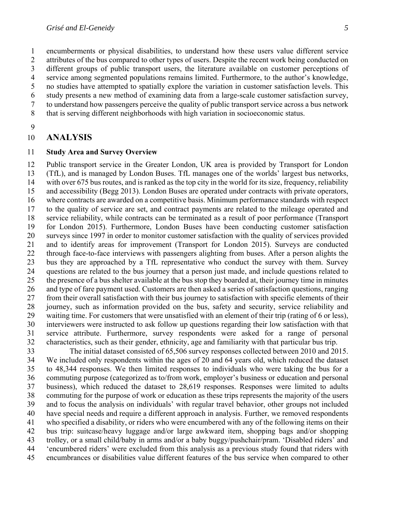1 encumberments or physical disabilities, to understand how these users value different service 2 attributes of the bus compared to other types of users. Despite the recent work being conducted on 3 different groups of public transport users, the literature available on customer perceptions of 4 service among segmented populations remains limited. Furthermore, to the author's knowledge,

5 no studies have attempted to spatially explore the variation in customer satisfaction levels. This

6 study presents a new method of examining data from a large-scale customer satisfaction survey, 7 to understand how passengers perceive the quality of public transport service across a bus network

- 8 that is serving different neighborhoods with high variation in socioeconomic status.
- 9

# 10 **ANALYSIS**

## 11 **Study Area and Survey Overview**

12 Public transport service in the Greater London, UK area is provided by Transport for London 13 (TfL), and is managed by London Buses. TfL manages one of the worlds' largest bus networks, 14 with over 675 bus routes, and is ranked as the top city in the world for its size, frequency, reliability 15 and accessibility (Begg 2013). London Buses are operated under contracts with private operators, 16 where contracts are awarded on a competitive basis. Minimum performance standards with respect 17 to the quality of service are set, and contract payments are related to the mileage operated and 18 service reliability, while contracts can be terminated as a result of poor performance (Transport 19 for London 2015). Furthermore, London Buses have been conducting customer satisfaction 20 surveys since 1997 in order to monitor customer satisfaction with the quality of services provided 21 and to identify areas for improvement (Transport for London 2015). Surveys are conducted 22 through face-to-face interviews with passengers alighting from buses. After a person alights the 23 bus they are approached by a TfL representative who conduct the survey with them. Survey 24 questions are related to the bus journey that a person just made, and include questions related to 25 the presence of a bus shelter available at the bus stop they boarded at, their journey time in minutes 26 and type of fare payment used. Customers are then asked a series of satisfaction questions, ranging 27 from their overall satisfaction with their bus journey to satisfaction with specific elements of their 28 journey, such as information provided on the bus, safety and security, service reliability and 29 waiting time. For customers that were unsatisfied with an element of their trip (rating of 6 or less), 30 interviewers were instructed to ask follow up questions regarding their low satisfaction with that 31 service attribute. Furthermore, survey respondents were asked for a range of personal 32 characteristics, such as their gender, ethnicity, age and familiarity with that particular bus trip.

33 The initial dataset consisted of 65,506 survey responses collected between 2010 and 2015. 34 We included only respondents within the ages of 20 and 64 years old, which reduced the dataset 35 to 48,344 responses. We then limited responses to individuals who were taking the bus for a 36 commuting purpose (categorized as to/from work, employer's business or education and personal 37 business), which reduced the dataset to 28,619 responses. Responses were limited to adults 38 commuting for the purpose of work or education as these trips represents the majority of the users 39 and to focus the analysis on individuals' with regular travel behavior, other groups not included 40 have special needs and require a different approach in analysis. Further, we removed respondents 41 who specified a disability, or riders who were encumbered with any of the following items on their 42 bus trip: suitcase/heavy luggage and/or large awkward item, shopping bags and/or shopping 43 trolley, or a small child/baby in arms and/or a baby buggy/pushchair/pram. 'Disabled riders' and 44 'encumbered riders' were excluded from this analysis as a previous study found that riders with 45 encumbrances or disabilities value different features of the bus service when compared to other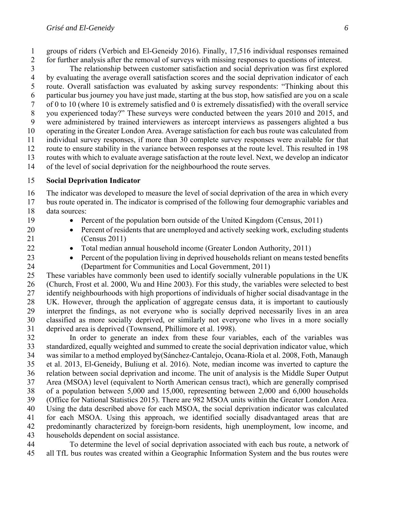1 groups of riders (Verbich and El-Geneidy 2016). Finally, 17,516 individual responses remained 2 for further analysis after the removal of surveys with missing responses to questions of interest.

3 The relationship between customer satisfaction and social deprivation was first explored 4 by evaluating the average overall satisfaction scores and the social deprivation indicator of each 5 route. Overall satisfaction was evaluated by asking survey respondents: "Thinking about this 6 particular bus journey you have just made, starting at the bus stop, how satisfied are you on a scale 7 of 0 to 10 (where 10 is extremely satisfied and 0 is extremely dissatisfied) with the overall service 8 you experienced today?" These surveys were conducted between the years 2010 and 2015, and 9 were administered by trained interviewers as intercept interviews as passengers alighted a bus 10 operating in the Greater London Area. Average satisfaction for each bus route was calculated from 11 individual survey responses, if more than 30 complete survey responses were available for that 12 route to ensure stability in the variance between responses at the route level. This resulted in 198 13 routes with which to evaluate average satisfaction at the route level. Next, we develop an indicator 14 of the level of social deprivation for the neighbourhood the route serves.

## 15 **Social Deprivation Indicator**

16 The indicator was developed to measure the level of social deprivation of the area in which every 17 bus route operated in. The indicator is comprised of the following four demographic variables and 18 data sources:

- 
- 19 Percent of the population born outside of the United Kingdom (Census, 2011)
- 20 **•** Percent of residents that are unemployed and actively seeking work, excluding students 21 (Census 2011)
- 22 Total median annual household income (Greater London Authority, 2011)
- 23 **Percent of the population living in deprived households reliant on means tested benefits** 24 (Department for Communities and Local Government, 2011)

25 These variables have commonly been used to identify socially vulnerable populations in the UK 26 (Church, Frost et al. 2000, Wu and Hine 2003). For this study, the variables were selected to best 27 identify neighbourhoods with high proportions of individuals of higher social disadvantage in the 28 UK. However, through the application of aggregate census data, it is important to cautiously 29 interpret the findings, as not everyone who is socially deprived necessarily lives in an area 30 classified as more socially deprived, or similarly not everyone who lives in a more socially 31 deprived area is deprived (Townsend, Phillimore et al. 1998).

32 In order to generate an index from these four variables, each of the variables was 33 standardized, equally weighted and summed to create the social deprivation indicator value, which 34 was similar to a method employed by(Sánchez-Cantalejo, Ocana-Riola et al. 2008, Foth, Manaugh 35 et al. 2013, El-Geneidy, Buliung et al. 2016). Note, median income was inverted to capture the 36 relation between social deprivation and income. The unit of analysis is the Middle Super Output 37 Area (MSOA) level (equivalent to North American census tract), which are generally comprised 38 of a population between 5,000 and 15,000, representing between 2,000 and 6,000 households 39 (Office for National Statistics 2015). There are 982 MSOA units within the Greater London Area. 40 Using the data described above for each MSOA, the social deprivation indicator was calculated 41 for each MSOA. Using this approach, we identified socially disadvantaged areas that are 42 predominantly characterized by foreign-born residents, high unemployment, low income, and 43 households dependent on social assistance.

44 To determine the level of social deprivation associated with each bus route, a network of 45 all TfL bus routes was created within a Geographic Information System and the bus routes were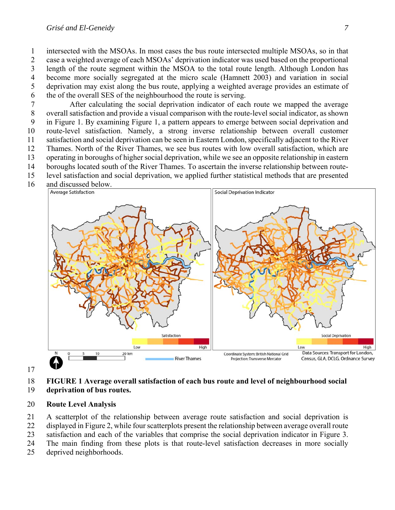1 intersected with the MSOAs. In most cases the bus route intersected multiple MSOAs, so in that 2 case a weighted average of each MSOAs' deprivation indicator was used based on the proportional 3 length of the route segment within the MSOA to the total route length. Although London has 4 become more socially segregated at the micro scale (Hamnett 2003) and variation in social 5 deprivation may exist along the bus route, applying a weighted average provides an estimate of 6 the of the overall SES of the neighbourhood the route is serving.

7 After calculating the social deprivation indicator of each route we mapped the average 8 overall satisfaction and provide a visual comparison with the route-level social indicator, as shown 9 in Figure 1. By examining Figure 1, a pattern appears to emerge between social deprivation and 10 route-level satisfaction. Namely, a strong inverse relationship between overall customer 11 satisfaction and social deprivation can be seen in Eastern London, specifically adjacent to the River 12 Thames. North of the River Thames, we see bus routes with low overall satisfaction, which are 13 operating in boroughs of higher social deprivation, while we see an opposite relationship in eastern 14 boroughs located south of the River Thames. To ascertain the inverse relationship between route-

- 15 level satisfaction and social deprivation, we applied further statistical methods that are presented
- 16 and discussed below.



17

18 **FIGURE 1 Average overall satisfaction of each bus route and level of neighbourhood social** 

## 19 **deprivation of bus routes.**

## 20 **Route Level Analysis**

- 21 A scatterplot of the relationship between average route satisfaction and social deprivation is
- 22 displayed in Figure 2, while four scatterplots present the relationship between average overall route
- 23 satisfaction and each of the variables that comprise the social deprivation indicator in Figure 3.
- 24 The main finding from these plots is that route-level satisfaction decreases in more socially
- 25 deprived neighborhoods.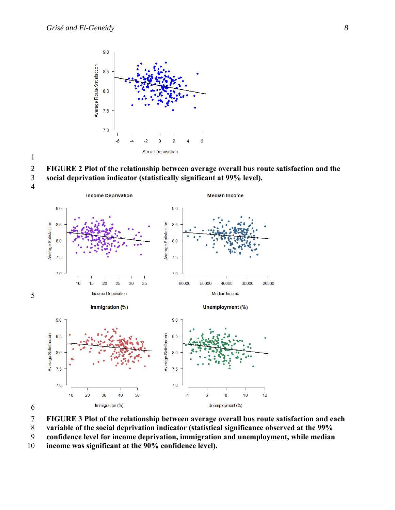



**FIGURE 2 Plot of the relationship between average overall bus route satisfaction and the social deprivation indicator (statistically significant at 99% level).** 









**FIGURE 3 Plot of the relationship between average overall bus route satisfaction and each** 

**variable of the social deprivation indicator (statistical significance observed at the 99%** 

**confidence level for income deprivation, immigration and unemployment, while median** 

**income was significant at the 90% confidence level).**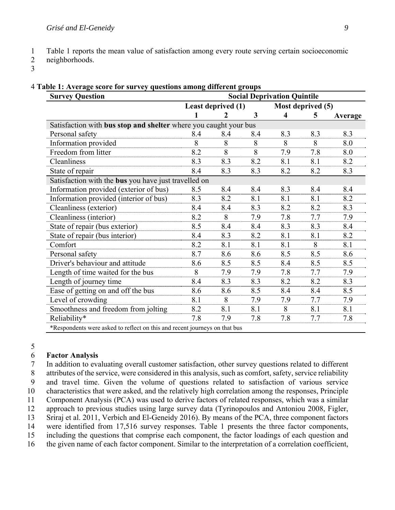1 Table 1 reports the mean value of satisfaction among every route serving certain socioeconomic

2 neighborhoods.

3

| <b>Survey Question</b>                                           | <b>Social Deprivation Quintile</b> |                    |     |                         |                   |         |  |  |
|------------------------------------------------------------------|------------------------------------|--------------------|-----|-------------------------|-------------------|---------|--|--|
|                                                                  |                                    | Least deprived (1) |     |                         | Most deprived (5) |         |  |  |
|                                                                  |                                    | 2                  | 3   | $\overline{\mathbf{4}}$ | 5                 | Average |  |  |
| Satisfaction with bus stop and shelter where you caught your bus |                                    |                    |     |                         |                   |         |  |  |
| Personal safety                                                  | 8.4                                | 8.4                | 8.4 | 8.3                     | 8.3               | 8.3     |  |  |
| Information provided                                             | 8                                  | 8                  | 8   | 8                       | 8                 | 8.0     |  |  |
| Freedom from litter                                              | 8.2                                | 8                  | 8   | 7.9                     | 7.8               | 8.0     |  |  |
| Cleanliness                                                      | 8.3                                | 8.3                | 8.2 | 8.1                     | 8.1               | 8.2     |  |  |
| State of repair                                                  | 8.4                                | 8.3                | 8.3 | 8.2                     | 8.2               | 8.3     |  |  |
| Satisfaction with the bus you have just travelled on             |                                    |                    |     |                         |                   |         |  |  |
| Information provided (exterior of bus)                           | 8.5                                | 8.4                | 8.4 | 8.3                     | 8.4               | 8.4     |  |  |
| Information provided (interior of bus)                           | 8.3                                | 8.2                | 8.1 | 8.1                     | 8.1               | 8.2     |  |  |
| Cleanliness (exterior)                                           | 8.4                                | 8.4                | 8.3 | 8.2                     | 8.2               | 8.3     |  |  |
| Cleanliness (interior)                                           | 8.2                                | 8                  | 7.9 | 7.8                     | 7.7               | 7.9     |  |  |
| State of repair (bus exterior)                                   | 8.5                                | 8.4                | 8.4 | 8.3                     | 8.3               | 8.4     |  |  |
| State of repair (bus interior)                                   | 8.4                                | 8.3                | 8.2 | 8.1                     | 8.1               | 8.2     |  |  |
| Comfort                                                          | 8.2                                | 8.1                | 8.1 | 8.1                     | 8                 | 8.1     |  |  |
| Personal safety                                                  | 8.7                                | 8.6                | 8.6 | 8.5                     | 8.5               | 8.6     |  |  |
| Driver's behaviour and attitude                                  | 8.6                                | 8.5                | 8.5 | 8.4                     | 8.5               | 8.5     |  |  |
| Length of time waited for the bus                                | 8                                  | 7.9                | 7.9 | 7.8                     | 7.7               | 7.9     |  |  |
| Length of journey time                                           | 8.4                                | 8.3                | 8.3 | 8.2                     | 8.2               | 8.3     |  |  |
| Ease of getting on and off the bus                               | 8.6                                | 8.6                | 8.5 | 8.4                     | 8.4               | 8.5     |  |  |
| Level of crowding                                                | 8.1                                | 8                  | 7.9 | 7.9                     | 7.7               | 7.9     |  |  |
| Smoothness and freedom from jolting                              | 8.2                                | 8.1                | 8.1 | 8                       | 8.1               | 8.1     |  |  |
| Reliability*                                                     | 7.8                                | 7.9                | 7.8 | 7.8                     | 7.7               | 7.8     |  |  |

4 **Table 1: Average score for survey questions among different groups** 

5

## 6 **Factor Analysis**

7 In addition to evaluating overall customer satisfaction, other survey questions related to different 8 attributes of the service, were considered in this analysis, such as comfort, safety, service reliability 9 and travel time. Given the volume of questions related to satisfaction of various service 10 characteristics that were asked, and the relatively high correlation among the responses, Principle 11 Component Analysis (PCA) was used to derive factors of related responses, which was a similar 12 approach to previous studies using large survey data (Tyrinopoulos and Antoniou 2008, Figler, 13 Sriraj et al. 2011, Verbich and El-Geneidy 2016). By means of the PCA, three component factors 14 were identified from 17,516 survey responses. Table 1 presents the three factor components, 15 including the questions that comprise each component, the factor loadings of each question and 16 the given name of each factor component. Similar to the interpretation of a correlation coefficient,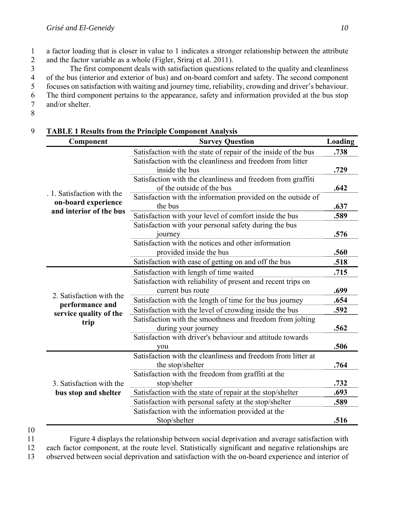1 a factor loading that is closer in value to 1 indicates a stronger relationship between the attribute 2 and the factor variable as a whole (Figler, Sriraj et al. 2011).<br>3 The first component deals with satisfaction questions

The first component deals with satisfaction questions related to the quality and cleanliness 4 of the bus (interior and exterior of bus) and on-board comfort and safety. The second component<br>5 focuses on satisfaction with waiting and journey time, reliability, crowding and driver's behaviour. 5 focuses on satisfaction with waiting and journey time, reliability, crowding and driver's behaviour. 6 The third component pertains to the appearance, safety and information provided at the bus stop 7 and/or shelter.

8

| Component                                 | <b>Survey Question</b>                                         | Loading |
|-------------------------------------------|----------------------------------------------------------------|---------|
|                                           | Satisfaction with the state of repair of the inside of the bus | .738    |
|                                           | Satisfaction with the cleanliness and freedom from litter      |         |
|                                           | inside the bus                                                 | .729    |
|                                           | Satisfaction with the cleanliness and freedom from graffiti    |         |
| . 1. Satisfaction with the                | of the outside of the bus                                      | .642    |
| on-board experience                       | Satisfaction with the information provided on the outside of   |         |
| and interior of the bus                   | the bus                                                        | .637    |
|                                           | Satisfaction with your level of comfort inside the bus         | .589    |
|                                           | Satisfaction with your personal safety during the bus          |         |
|                                           | journey                                                        | .576    |
|                                           | Satisfaction with the notices and other information            |         |
|                                           | provided inside the bus                                        | .560    |
|                                           | Satisfaction with ease of getting on and off the bus           | .518    |
|                                           | Satisfaction with length of time waited                        | .715    |
|                                           | Satisfaction with reliability of present and recent trips on   |         |
|                                           | current bus route                                              | .699    |
| 2. Satisfaction with the                  | Satisfaction with the length of time for the bus journey       | .654    |
| performance and<br>service quality of the | Satisfaction with the level of crowding inside the bus         | .592    |
| trip                                      | Satisfaction with the smoothness and freedom from jolting      |         |
|                                           | during your journey                                            | .562    |
|                                           | Satisfaction with driver's behaviour and attitude towards      |         |
|                                           | you                                                            | .506    |
|                                           | Satisfaction with the cleanliness and freedom from litter at   |         |
|                                           | the stop/shelter                                               | .764    |
|                                           | Satisfaction with the freedom from graffiti at the             |         |
| 3. Satisfaction with the                  | stop/shelter                                                   | .732    |
| bus stop and shelter                      | Satisfaction with the state of repair at the stop/shelter      | .693    |
|                                           | Satisfaction with personal safety at the stop/shelter          | .589    |
|                                           | Satisfaction with the information provided at the              |         |
|                                           | Stop/shelter                                                   | .516    |

## 9 **TABLE 1 Results from the Principle Component Analysis**

10

11 Figure 4 displays the relationship between social deprivation and average satisfaction with 12 each factor component, at the route level. Statistically significant and negative relationships are 13 observed between social deprivation and satisfaction with the on-board experience and interior of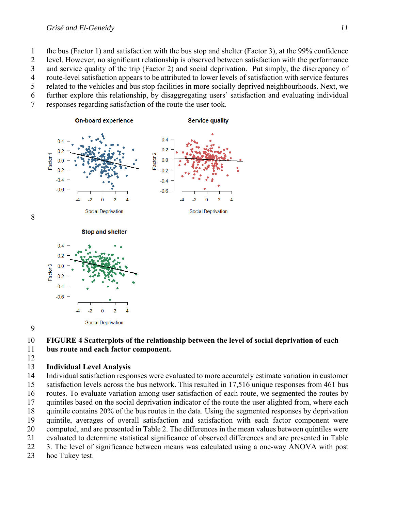1 the bus (Factor 1) and satisfaction with the bus stop and shelter (Factor 3), at the 99% confidence 2 level. However, no significant relationship is observed between satisfaction with the performance 3 and service quality of the trip (Factor 2) and social deprivation. Put simply, the discrepancy of 4 route-level satisfaction appears to be attributed to lower levels of satisfaction with service features 5 related to the vehicles and bus stop facilities in more socially deprived neighbourhoods. Next, we 6 further explore this relationship, by disaggregating users' satisfaction and evaluating individual 7 responses regarding satisfaction of the route the user took.

On-board experience **Service quality**  $0.4$  $0.4$  $0.2$  $0.2$ Factor 2 Factor  $0.0$  $0.0$  $-0.2$  $-0.2$  $-0.4$  $-0.4$  $-0.6$  $-0.6$  $-2$  $\overline{0}$  $\overline{2}$  $-2$  $\overline{0}$  $\overline{2}$ -4  $\overline{4}$  $\overline{A}$ 4 **Social Deprivation Social Deprivation** 

**Stop and shelter** 



#### 9

8

## 10 **FIGURE 4 Scatterplots of the relationship between the level of social deprivation of each**  11 **bus route and each factor component.**

12

## 13 **Individual Level Analysis**

14 Individual satisfaction responses were evaluated to more accurately estimate variation in customer 15 satisfaction levels across the bus network. This resulted in 17,516 unique responses from 461 bus 16 routes. To evaluate variation among user satisfaction of each route, we segmented the routes by 17 quintiles based on the social deprivation indicator of the route the user alighted from, where each 18 quintile contains 20% of the bus routes in the data. Using the segmented responses by deprivation 19 quintile, averages of overall satisfaction and satisfaction with each factor component were 20 computed, and are presented in Table 2. The differences in the mean values between quintiles were 21 evaluated to determine statistical significance of observed differences and are presented in Table 22 3. The level of significance between means was calculated using a one-way ANOVA with post

23 hoc Tukey test.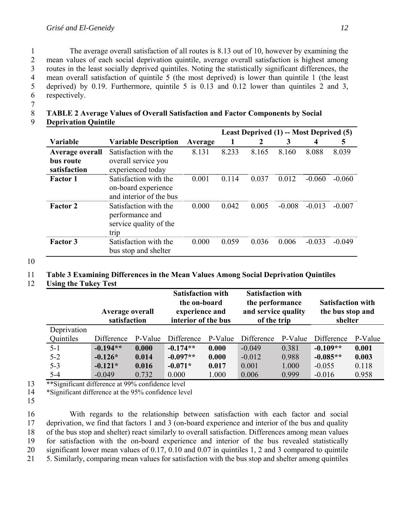1 The average overall satisfaction of all routes is 8.13 out of 10, however by examining the 2 mean values of each social deprivation quintile, average overall satisfaction is highest among 3 routes in the least socially deprived quintiles. Noting the statistically significant differences, the 4 mean overall satisfaction of quintile 5 (the most deprived) is lower than quintile 1 (the least deprived) by 0.19. Furthermore, quintile 5 is 0.13 and 0.12 lower than quintiles 2 and 3, 5 deprived) by 0.19. Furthermore, quintile 5 is 0.13 and 0.12 lower than quintiles 2 and 3, 6 respectively. 7

8 **TABLE 2 Average Values of Overall Satisfaction and Factor Components by Social**  9 **Deprivation Quintile** 

|                                                     |                                                                            |         |       | Least Deprived (1) -- Most Deprived (5) |          |          |          |
|-----------------------------------------------------|----------------------------------------------------------------------------|---------|-------|-----------------------------------------|----------|----------|----------|
| <b>Variable</b>                                     | <b>Variable Description</b>                                                | Average |       | 2                                       | 3        | 4        | 5        |
| <b>Average overall</b><br>bus route<br>satisfaction | Satisfaction with the<br>overall service you<br>experienced today          | 8.131   | 8.233 | 8.165                                   | 8.160    | 8.088    | 8.039    |
| <b>Factor 1</b>                                     | Satisfaction with the<br>on-board experience<br>and interior of the bus    | 0.001   | 0.114 | 0.037                                   | 0.012    | $-0.060$ | $-0.060$ |
| <b>Factor 2</b>                                     | Satisfaction with the<br>performance and<br>service quality of the<br>trip | 0.000   | 0.042 | 0.005                                   | $-0.008$ | $-0.013$ | $-0.007$ |
| <b>Factor 3</b>                                     | Satisfaction with the<br>bus stop and shelter                              | 0.000   | 0.059 | 0.036                                   | 0.006    | $-0.033$ | $-0.049$ |

10

- 11 **Table 3 Examining Differences in the Mean Values Among Social Deprivation Quintiles**
- 12 **Using the Tukey Test**

|             | Average overall<br>satisfaction |         | <b>Satisfaction with</b><br>the on-board<br>experience and<br>interior of the bus |         | <b>Satisfaction with</b><br>the performance<br>and service quality<br>of the trip |         | <b>Satisfaction with</b><br>the bus stop and<br>shelter |         |
|-------------|---------------------------------|---------|-----------------------------------------------------------------------------------|---------|-----------------------------------------------------------------------------------|---------|---------------------------------------------------------|---------|
| Deprivation |                                 |         |                                                                                   |         |                                                                                   |         |                                                         |         |
| Quintiles   | Difference                      | P-Value | Difference                                                                        | P-Value | Difference                                                                        | P-Value | Difference                                              | P-Value |
| $5-1$       | $-0.194**$                      | 0.000   | $-0.174**$                                                                        | 0.000   | $-0.049$                                                                          | 0.381   | $-0.109**$                                              | 0.001   |
| $5 - 2$     | $-0.126*$                       | 0.014   | $-0.097**$                                                                        | 0.000   | $-0.012$                                                                          | 0.988   | $-0.085**$                                              | 0.003   |
| $5 - 3$     | $-0.121*$                       | 0.016   | $-0.071*$                                                                         | 0.017   | 0.001                                                                             | 1.000   | $-0.055$                                                | 0.118   |
| $5 - 4$     | $-0.049$                        | 0.732   | 0.000                                                                             | 1.000   | 0.006                                                                             | 0.999   | $-0.016$                                                | 0.958   |

13 \*\*Significant difference at 99% confidence level

14 \*Significant difference at the 95% confidence level

16 With regards to the relationship between satisfaction with each factor and social 17 deprivation, we find that factors 1 and 3 (on-board experience and interior of the bus and quality 18 of the bus stop and shelter) react similarly to overall satisfaction. Differences among mean values 19 for satisfaction with the on-board experience and interior of the bus revealed statistically 20 significant lower mean values of 0.17, 0.10 and 0.07 in quintiles 1, 2 and 3 compared to quintile

21 5. Similarly, comparing mean values for satisfaction with the bus stop and shelter among quintiles

<sup>15</sup>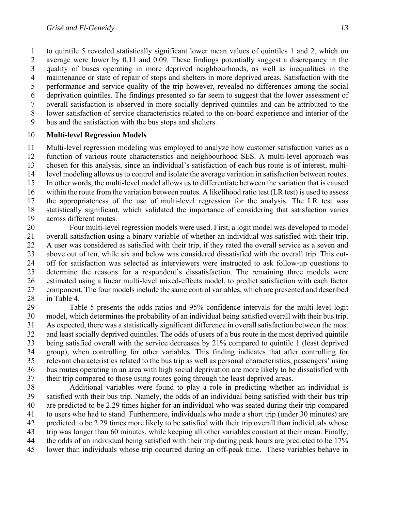1 to quintile 5 revealed statistically significant lower mean values of quintiles 1 and 2, which on 2 average were lower by 0.11 and 0.09. These findings potentially suggest a discrepancy in the 3 quality of buses operating in more deprived neighbourhoods, as well as inequalities in the 4 maintenance or state of repair of stops and shelters in more deprived areas. Satisfaction with the 5 performance and service quality of the trip however, revealed no differences among the social 6 deprivation quintiles. The findings presented so far seem to suggest that the lower assessment of 7 overall satisfaction is observed in more socially deprived quintiles and can be attributed to the

- 8 lower satisfaction of service characteristics related to the on-board experience and interior of the
- 9 bus and the satisfaction with the bus stops and shelters.

## 10 **Multi-level Regression Models**

11 Multi-level regression modeling was employed to analyze how customer satisfaction varies as a 12 function of various route characteristics and neighbourhood SES. A multi-level approach was 13 chosen for this analysis, since an individual's satisfaction of each bus route is of interest, multi-14 level modeling allows us to control and isolate the average variation in satisfaction between routes. 15 In other words, the multi-level model allows us to differentiate between the variation that is caused 16 within the route from the variation between routes. A likelihood ratio test (LR test) is used to assess 17 the appropriateness of the use of multi-level regression for the analysis. The LR test was 18 statistically significant, which validated the importance of considering that satisfaction varies 19 across different routes.

20 Four multi-level regression models were used. First, a logit model was developed to model 21 overall satisfaction using a binary variable of whether an individual was satisfied with their trip. 22 A user was considered as satisfied with their trip, if they rated the overall service as a seven and 23 above out of ten, while six and below was considered dissatisfied with the overall trip. This cut-24 off for satisfaction was selected as interviewers were instructed to ask follow-up questions to 25 determine the reasons for a respondent's dissatisfaction. The remaining three models were 26 estimated using a linear multi-level mixed-effects model, to predict satisfaction with each factor 27 component. The four models include the same control variables, which are presented and described 28 in Table 4.

29 Table 5 presents the odds ratios and 95% confidence intervals for the multi-level logit 30 model, which determines the probability of an individual being satisfied overall with their bus trip. 31 As expected, there was a statistically significant difference in overall satisfaction between the most 32 and least socially deprived quintiles. The odds of users of a bus route in the most deprived quintile 33 being satisfied overall with the service decreases by 21% compared to quintile 1 (least deprived 34 group), when controlling for other variables. This finding indicates that after controlling for 35 relevant characteristics related to the bus trip as well as personal characteristics, passengers' using 36 bus routes operating in an area with high social deprivation are more likely to be dissatisfied with 37 their trip compared to those using routes going through the least deprived areas.

38 Additional variables were found to play a role in predicting whether an individual is 39 satisfied with their bus trip. Namely, the odds of an individual being satisfied with their bus trip 40 are predicted to be 2.29 times higher for an individual who was seated during their trip compared 41 to users who had to stand. Furthermore, individuals who made a short trip (under 30 minutes) are 42 predicted to be 2.29 times more likely to be satisfied with their trip overall than individuals whose 43 trip was longer than 60 minutes, while keeping all other variables constant at their mean. Finally, 44 the odds of an individual being satisfied with their trip during peak hours are predicted to be 17% 45 lower than individuals whose trip occurred during an off-peak time. These variables behave in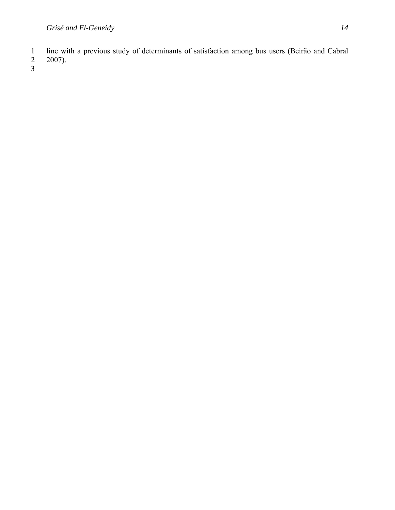- line with a previous study of determinants of satisfaction among bus users (Beirão and Cabral  $\begin{array}{c} 1 \\ 2 \\ 3 \end{array}$
- 2 2007).
-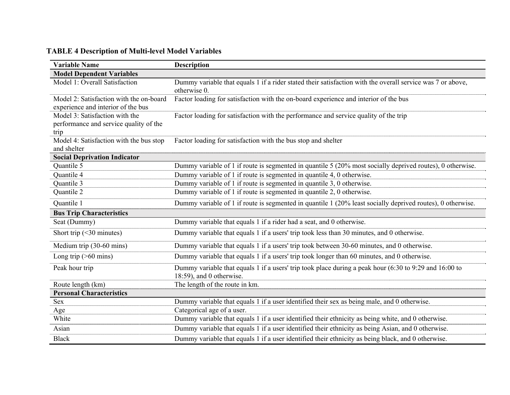# **TABLE 4 Description of Multi-level Model Variables**

| <b>Variable Name</b>                    | <b>Description</b>                                                                                         |
|-----------------------------------------|------------------------------------------------------------------------------------------------------------|
| <b>Model Dependent Variables</b>        |                                                                                                            |
| Model 1: Overall Satisfaction           | Dummy variable that equals 1 if a rider stated their satisfaction with the overall service was 7 or above, |
|                                         | otherwise 0.                                                                                               |
| Model 2: Satisfaction with the on-board | Factor loading for satisfaction with the on-board experience and interior of the bus                       |
| experience and interior of the bus      |                                                                                                            |
| Model 3: Satisfaction with the          | Factor loading for satisfaction with the performance and service quality of the trip                       |
| performance and service quality of the  |                                                                                                            |
| trip                                    |                                                                                                            |
| Model 4: Satisfaction with the bus stop | Factor loading for satisfaction with the bus stop and shelter                                              |
| and shelter                             |                                                                                                            |
| <b>Social Deprivation Indicator</b>     |                                                                                                            |
| Quantile 5                              | Dummy variable of 1 if route is segmented in quantile 5 (20% most socially deprived routes), 0 otherwise.  |
| Quantile 4                              | Dummy variable of 1 if route is segmented in quantile 4, 0 otherwise.                                      |
| Quantile 3                              | Dummy variable of 1 if route is segmented in quantile 3, 0 otherwise.                                      |
| Quantile 2                              | Dummy variable of 1 if route is segmented in quantile 2, 0 otherwise.                                      |
| Quantile 1                              | Dummy variable of 1 if route is segmented in quantile 1 (20% least socially deprived routes), 0 otherwise. |
| <b>Bus Trip Characteristics</b>         |                                                                                                            |
| Seat (Dummy)                            | Dummy variable that equals 1 if a rider had a seat, and 0 otherwise.                                       |
| Short trip $(30 \text{ minutes})$       | Dummy variable that equals 1 if a users' trip took less than 30 minutes, and 0 otherwise.                  |
| Medium trip (30-60 mins)                | Dummy variable that equals 1 if a users' trip took between 30-60 minutes, and 0 otherwise.                 |
| Long trip $($ >60 mins)                 | Dummy variable that equals 1 if a users' trip took longer than 60 minutes, and 0 otherwise.                |
| Peak hour trip                          | Dummy variable that equals 1 if a users' trip took place during a peak hour (6:30 to 9:29 and 16:00 to     |
|                                         | 18:59), and 0 otherwise.                                                                                   |
| Route length (km)                       | The length of the route in km.                                                                             |
| <b>Personal Characteristics</b>         |                                                                                                            |
| Sex                                     | Dummy variable that equals 1 if a user identified their sex as being male, and 0 otherwise.                |
| Age                                     | Categorical age of a user.                                                                                 |
| White                                   | Dummy variable that equals 1 if a user identified their ethnicity as being white, and 0 otherwise.         |
| Asian                                   | Dummy variable that equals 1 if a user identified their ethnicity as being Asian, and 0 otherwise.         |
| <b>Black</b>                            | Dummy variable that equals 1 if a user identified their ethnicity as being black, and 0 otherwise.         |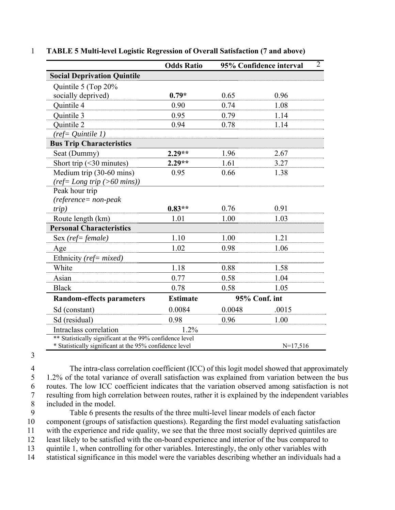|                                                                                                                     | <b>Odds Ratio</b> |        | 95% Confidence interval | $\overline{2}$ |
|---------------------------------------------------------------------------------------------------------------------|-------------------|--------|-------------------------|----------------|
| <b>Social Deprivation Quintile</b>                                                                                  |                   |        |                         |                |
| Quintile 5 (Top 20%                                                                                                 |                   |        |                         |                |
| socially deprived)                                                                                                  | $0.79*$           | 0.65   | 0.96                    |                |
| <b>Ouintile 4</b>                                                                                                   | 0.90              | 0.74   | 1.08                    |                |
| <b>Ouintile 3</b>                                                                                                   | 0.95              | 0.79   | 1.14                    |                |
| <b>Ouintile 2</b>                                                                                                   | 0.94              | 0.78   | 1.14                    |                |
| $(ref=Quintile 1)$                                                                                                  |                   |        |                         |                |
| <b>Bus Trip Characteristics</b>                                                                                     |                   |        |                         |                |
| Seat (Dummy)                                                                                                        | $2.29**$          | 1.96   | 2.67                    |                |
| Short trip $(<30$ minutes)                                                                                          | $2.29**$          | 1.61   | 3.27                    |                |
| Medium trip (30-60 mins)                                                                                            | 0.95              | 0.66   | 1.38                    |                |
| $(ref=Long trip (>60 mins))$                                                                                        |                   |        |                         |                |
| Peak hour trip                                                                                                      |                   |        |                         |                |
| $(reference= non-peak)$                                                                                             |                   |        |                         |                |
| trip)                                                                                                               | $0.83**$          | 0.76   | 0.91                    |                |
| Route length (km)                                                                                                   | 1.01              | 1.00   | 1.03                    |                |
| <b>Personal Characteristics</b>                                                                                     |                   |        |                         |                |
| Sex ( $ref = female$ )                                                                                              | 1.10              | 1.00   | 1.21                    |                |
| Age                                                                                                                 | 1.02              | 0.98   | 1.06                    |                |
| Ethnicity (ref= mixed)                                                                                              |                   |        |                         |                |
| White                                                                                                               | 1.18              | 0.88   | 1.58                    |                |
| Asian                                                                                                               | 0.77              | 0.58   | 1.04                    |                |
| <b>Black</b>                                                                                                        | 0.78              | 0.58   | 1.05                    |                |
| <b>Random-effects parameters</b>                                                                                    | <b>Estimate</b>   |        | 95% Conf. int           |                |
| Sd (constant)                                                                                                       | 0.0084            | 0.0048 | .0015                   |                |
| Sd (residual)                                                                                                       | 0.98              | 0.96   | 1.00                    |                |
| Intraclass correlation                                                                                              | 1.2%              |        |                         |                |
| ** Statistically significant at the 99% confidence level<br>* Statistically significant at the 95% confidence level |                   |        | $N=17,516$              |                |

#### 1 **TABLE 5 Multi-level Logistic Regression of Overall Satisfaction (7 and above)**

3

4 The intra-class correlation coefficient (ICC) of this logit model showed that approximately 5 1.2% of the total variance of overall satisfaction was explained from variation between the bus 6 routes. The low ICC coefficient indicates that the variation observed among satisfaction is not resulting from high correlation between routes, rather it is explained by the independent variables 8 included in the model.

9 Table 6 presents the results of the three multi-level linear models of each factor 10 component (groups of satisfaction questions). Regarding the first model evaluating satisfaction 11 with the experience and ride quality, we see that the three most socially deprived quintiles are

12 least likely to be satisfied with the on-board experience and interior of the bus compared to

13 quintile 1, when controlling for other variables. Interestingly, the only other variables with 14 statistical significance in this model were the variables describing whether an individuals had a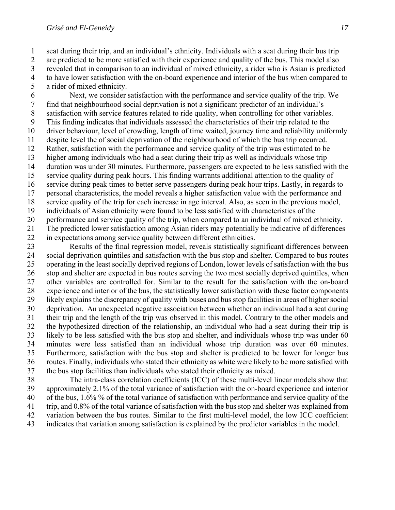1 seat during their trip, and an individual's ethnicity. Individuals with a seat during their bus trip 2 are predicted to be more satisfied with their experience and quality of the bus. This model also 3 revealed that in comparison to an individual of mixed ethnicity, a rider who is Asian is predicted 4 to have lower satisfaction with the on-board experience and interior of the bus when compared to a rider of mixed ethnicity. a rider of mixed ethnicity.

6 Next, we consider satisfaction with the performance and service quality of the trip. We 7 find that neighbourhood social deprivation is not a significant predictor of an individual's 8 satisfaction with service features related to ride quality, when controlling for other variables. 9 This finding indicates that individuals assessed the characteristics of their trip related to the 10 driver behaviour, level of crowding, length of time waited, journey time and reliability uniformly 11 despite level the of social deprivation of the neighbourhood of which the bus trip occurred. 12 Rather, satisfaction with the performance and service quality of the trip was estimated to be 13 higher among individuals who had a seat during their trip as well as individuals whose trip 14 duration was under 30 minutes. Furthermore, passengers are expected to be less satisfied with the 15 service quality during peak hours. This finding warrants additional attention to the quality of 16 service during peak times to better serve passengers during peak hour trips. Lastly, in regards to 17 personal characteristics, the model reveals a higher satisfaction value with the performance and 18 service quality of the trip for each increase in age interval. Also, as seen in the previous model, 19 individuals of Asian ethnicity were found to be less satisfied with characteristics of the 20 performance and service quality of the trip, when compared to an individual of mixed ethnicity. 21 The predicted lower satisfaction among Asian riders may potentially be indicative of differences 22 in expectations among service quality between different ethnicities.

23 Results of the final regression model, reveals statistically significant differences between 24 social deprivation quintiles and satisfaction with the bus stop and shelter. Compared to bus routes 25 operating in the least socially deprived regions of London, lower levels of satisfaction with the bus 26 stop and shelter are expected in bus routes serving the two most socially deprived quintiles, when 27 other variables are controlled for. Similar to the result for the satisfaction with the on-board 28 experience and interior of the bus, the statistically lower satisfaction with these factor components 29 likely explains the discrepancy of quality with buses and bus stop facilities in areas of higher social 30 deprivation. An unexpected negative association between whether an individual had a seat during 31 their trip and the length of the trip was observed in this model. Contrary to the other models and 32 the hypothesized direction of the relationship, an individual who had a seat during their trip is 33 likely to be less satisfied with the bus stop and shelter, and individuals whose trip was under 60 34 minutes were less satisfied than an individual whose trip duration was over 60 minutes. 35 Furthermore, satisfaction with the bus stop and shelter is predicted to be lower for longer bus 36 routes. Finally, individuals who stated their ethnicity as white were likely to be more satisfied with 37 the bus stop facilities than individuals who stated their ethnicity as mixed.

38 The intra-class correlation coefficients (ICC) of these multi-level linear models show that 39 approximately 2.1% of the total variance of satisfaction with the on-board experience and interior 40 of the bus, 1.6% % of the total variance of satisfaction with performance and service quality of the 41 trip, and 0.8% of the total variance of satisfaction with the bus stop and shelter was explained from

42 variation between the bus routes. Similar to the first multi-level model, the low ICC coefficient

43 indicates that variation among satisfaction is explained by the predictor variables in the model.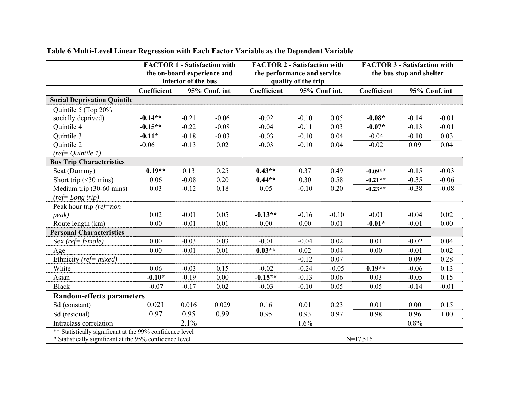|                                                                       | <b>FACTOR 1 - Satisfaction with</b><br>the on-board experience and<br>interior of the bus |         | <b>FACTOR 2 - Satisfaction with</b><br>the performance and service<br>quality of the trip |             |               | <b>FACTOR 3 - Satisfaction with</b><br>the bus stop and shelter |             |               |          |
|-----------------------------------------------------------------------|-------------------------------------------------------------------------------------------|---------|-------------------------------------------------------------------------------------------|-------------|---------------|-----------------------------------------------------------------|-------------|---------------|----------|
|                                                                       | <b>Coefficient</b>                                                                        |         | 95% Conf. int                                                                             | Coefficient | 95% Conf int. |                                                                 | Coefficient | 95% Conf. int |          |
| <b>Social Deprivation Quintile</b>                                    |                                                                                           |         |                                                                                           |             |               |                                                                 |             |               |          |
| Quintile 5 (Top 20%                                                   |                                                                                           |         |                                                                                           |             |               |                                                                 |             |               |          |
| socially deprived)                                                    | $-0.14**$                                                                                 | $-0.21$ | $-0.06$                                                                                   | $-0.02$     | $-0.10$       | 0.05                                                            | $-0.08*$    | $-0.14$       | $-0.01$  |
| Quintile 4                                                            | $-0.15**$                                                                                 | $-0.22$ | $-0.08$                                                                                   | $-0.04$     | $-0.11$       | 0.03                                                            | $-0.07*$    | $-0.13$       | $-0.01$  |
| Quintile 3                                                            | $-0.11*$                                                                                  | $-0.18$ | $-0.03$                                                                                   | $-0.03$     | $-0.10$       | 0.04                                                            | $-0.04$     | $-0.10$       | 0.03     |
| Quintile 2                                                            | $-0.06$                                                                                   | $-0.13$ | 0.02                                                                                      | $-0.03$     | $-0.10$       | 0.04                                                            | $-0.02$     | 0.09          | 0.04     |
| $(ref=Quintile 1)$                                                    |                                                                                           |         |                                                                                           |             |               |                                                                 |             |               |          |
| <b>Bus Trip Characteristics</b>                                       |                                                                                           |         |                                                                                           |             |               |                                                                 |             |               |          |
| Seat (Dummy)                                                          | $0.19**$                                                                                  | 0.13    | 0.25                                                                                      | $0.43**$    | 0.37          | 0.49                                                            | $-0.09**$   | $-0.15$       | $-0.03$  |
| Short trip $(<30$ mins)                                               | 0.06                                                                                      | $-0.08$ | 0.20                                                                                      | $0.44**$    | 0.30          | 0.58                                                            | $-0.21**$   | $-0.35$       | $-0.06$  |
| Medium trip (30-60 mins)                                              | 0.03                                                                                      | $-0.12$ | 0.18                                                                                      | 0.05        | $-0.10$       | 0.20                                                            | $-0.23**$   | $-0.38$       | $-0.08$  |
| $(ref=Long trip)$                                                     |                                                                                           |         |                                                                                           |             |               |                                                                 |             |               |          |
| Peak hour trip (ref=non-                                              |                                                                                           |         |                                                                                           |             |               |                                                                 |             |               |          |
| peak)                                                                 | 0.02                                                                                      | $-0.01$ | 0.05                                                                                      | $-0.13**$   | $-0.16$       | $-0.10$                                                         | $-0.01$     | $-0.04$       | 0.02     |
| Route length (km)                                                     | 0.00                                                                                      | $-0.01$ | 0.01                                                                                      | 0.00        | 0.00          | 0.01                                                            | $-0.01*$    | $-0.01$       | $0.00\,$ |
| <b>Personal Characteristics</b>                                       |                                                                                           |         |                                                                                           |             |               |                                                                 |             |               |          |
| Sex ( $ref = female$ )                                                | 0.00                                                                                      | $-0.03$ | 0.03                                                                                      | $-0.01$     | $-0.04$       | 0.02                                                            | 0.01        | $-0.02$       | 0.04     |
| Age                                                                   | 0.00                                                                                      | $-0.01$ | 0.01                                                                                      | $0.03**$    | 0.02          | 0.04                                                            | 0.00        | $-0.01$       | 0.02     |
| Ethnicity (ref= mixed)                                                |                                                                                           |         |                                                                                           |             | $-0.12$       | 0.07                                                            |             | 0.09          | 0.28     |
| White                                                                 | 0.06                                                                                      | $-0.03$ | 0.15                                                                                      | $-0.02$     | $-0.24$       | $-0.05$                                                         | $0.19**$    | $-0.06$       | 0.13     |
| Asian                                                                 | $-0.10*$                                                                                  | $-0.19$ | 0.00                                                                                      | $-0.15**$   | $-0.13$       | 0.06                                                            | 0.03        | $-0.05$       | 0.15     |
| <b>Black</b>                                                          | $-0.07$                                                                                   | $-0.17$ | 0.02                                                                                      | $-0.03$     | $-0.10$       | 0.05                                                            | 0.05        | $-0.14$       | $-0.01$  |
| <b>Random-effects parameters</b>                                      |                                                                                           |         |                                                                                           |             |               |                                                                 |             |               |          |
| Sd (constant)                                                         | 0.021                                                                                     | 0.016   | 0.029                                                                                     | 0.16        | 0.01          | 0.23                                                            | 0.01        | 0.00          | 0.15     |
| Sd (residual)                                                         | 0.97                                                                                      | 0.95    | 0.99                                                                                      | 0.95        | 0.93          | 0.97                                                            | 0.98        | 0.96          | 1.00     |
| Intraclass correlation                                                |                                                                                           | 2.1%    |                                                                                           |             | 1.6%          |                                                                 |             | 0.8%          |          |
| ** Statistically significant at the 99% confidence level              |                                                                                           |         |                                                                                           |             |               |                                                                 |             |               |          |
| * Statistically significant at the 95% confidence level<br>$N=17,516$ |                                                                                           |         |                                                                                           |             |               |                                                                 |             |               |          |

**Table 6 Multi-Level Linear Regression with Each Factor Variable as the Dependent Variable**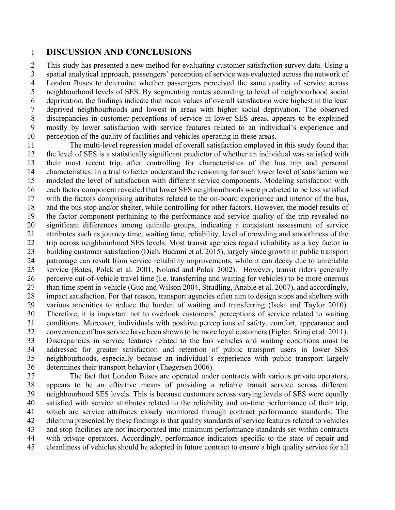## 1 **DISCUSSION AND CONCLUSIONS**

2 This study has presented a new method for evaluating customer satisfaction survey data. Using a 3 spatial analytical approach, passengers' perception of service was evaluated across the network of 4 London Buses to determine whether passengers perceived the same quality of service across 5 neighbourhood levels of SES. By segmenting routes according to level of neighbourhood social 6 deprivation, the findings indicate that mean values of overall satisfaction were highest in the least 7 deprived neighbourhoods and lowest in areas with higher social deprivation. The observed 8 discrepancies in customer perceptions of service in lower SES areas, appears to be explained 9 mostly by lower satisfaction with service features related to an individual's experience and 10 perception of the quality of facilities and vehicles operating in these areas.

11 The multi-level regression model of overall satisfaction employed in this study found that 12 the level of SES is a statistically significant predictor of whether an individual was satisfied with 13 their most recent trip, after controlling for characteristics of the bus trip and personal 14 characteristics. In a trial to better understand the reasoning for such lower level of satisfaction we 15 modeled the level of satisfaction with different service components. Modeling satisfaction with 16 each factor component revealed that lower SES neighbourhoods were predicted to be less satisfied 17 with the factors comprising attributes related to the on-board experience and interior of the bus, 18 and the bus stop and/or shelter, while controlling for other factors. However, the model results of 19 the factor component pertaining to the performance and service quality of the trip revealed no 20 significant differences among quintile groups, indicating a consistent assessment of service 21 attributes such as journey time, waiting time, reliability, level of crowding and smoothness of the 22 trip across neighbourhood SES levels. Most transit agencies regard reliability as a key factor in 23 building customer satisfaction (Diab, Badami et al. 2015), largely since growth in public transport 24 patronage can result from service reliability improvements, while it can decay due to unreliable 25 service (Bates, Polak et al. 2001, Noland and Polak 2002). However, transit riders generally 26 perceive out-of-vehicle travel time (i.e. transferring and waiting for vehicles) to be more onerous 27 than time spent in-vehicle (Guo and Wilson 2004, Stradling, Anable et al. 2007), and accordingly, 28 impact satisfaction. For that reason, transport agencies often aim to design stops and shelters with 29 various amenities to reduce the burden of waiting and transferring (Iseki and Taylor 2010). 30 Therefore, it is important not to overlook customers' perceptions of service related to waiting 31 conditions. Moreover, individuals with positive perceptions of safety, comfort, appearance and 32 convenience of bus service have been shown to be more loyal customers (Figler, Sriraj et al. 2011). 33 Discrepancies in service features related to the bus vehicles and waiting conditions must be 34 addressed for greater satisfaction and retention of public transport users in lower SES 35 neighbourhoods, especially because an individual's experience with public transport largely 36 determines their transport behavior (Thøgersen 2006).

37 The fact that London Buses are operated under contracts with various private operators, 38 appears to be an effective means of providing a reliable transit service across different 39 neighbourhood SES levels. This is because customers across varying levels of SES were equally 40 satisfied with service attributes related to the reliability and on-time performance of their trip, 41 which are service attributes closely monitored through contract performance standards. The 42 dilemma presented by these findings is that quality standards of service features related to vehicles 43 and stop facilities are not incorporated into minimum performance standards set within contracts 44 with private operators. Accordingly, performance indicators specific to the state of repair and 45 cleanliness of vehicles should be adopted in future contract to ensure a high quality service for all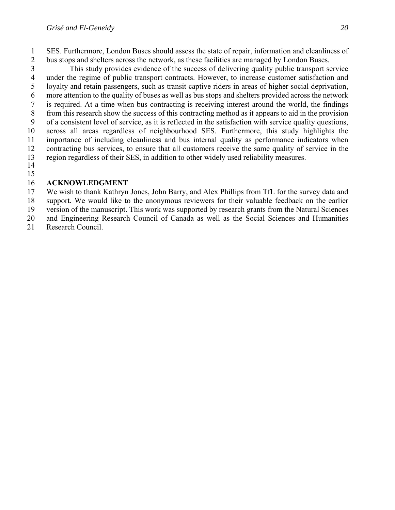1 SES. Furthermore, London Buses should assess the state of repair, information and cleanliness of 2 bus stops and shelters across the network, as these facilities are managed by London Buses.

3 This study provides evidence of the success of delivering quality public transport service 4 under the regime of public transport contracts. However, to increase customer satisfaction and 5 loyalty and retain passengers, such as transit captive riders in areas of higher social deprivation, 6 more attention to the quality of buses as well as bus stops and shelters provided across the network 7 is required. At a time when bus contracting is receiving interest around the world, the findings 8 from this research show the success of this contracting method as it appears to aid in the provision 9 of a consistent level of service, as it is reflected in the satisfaction with service quality questions, 10 across all areas regardless of neighbourhood SES. Furthermore, this study highlights the 11 importance of including cleanliness and bus internal quality as performance indicators when 12 contracting bus services, to ensure that all customers receive the same quality of service in the 13 region regardless of their SES, in addition to other widely used reliability measures.

14

## 15

## 16 **ACKNOWLEDGMENT**

17 We wish to thank Kathryn Jones, John Barry, and Alex Phillips from TfL for the survey data and

18 support. We would like to the anonymous reviewers for their valuable feedback on the earlier 19 version of the manuscript. This work was supported by research grants from the Natural Sciences

20 and Engineering Research Council of Canada as well as the Social Sciences and Humanities

21 Research Council.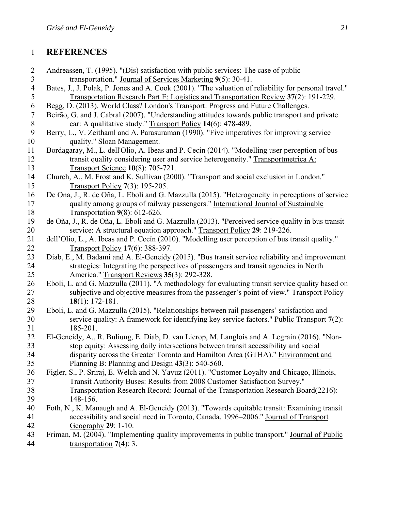# 1 **REFERENCES**

2 Andreassen, T. (1995). "(Dis) satisfaction with public services: The case of public 3 transportation." Journal of Services Marketing **9**(5): 30-41. 4 Bates, J., J. Polak, P. Jones and A. Cook (2001). "The valuation of reliability for personal travel." 5 Transportation Research Part E: Logistics and Transportation Review **37**(2): 191-229. 6 Begg, D. (2013). World Class? London's Transport: Progress and Future Challenges. 7 Beirão, G. and J. Cabral (2007). "Understanding attitudes towards public transport and private 8 car: A qualitative study." Transport Policy **14**(6): 478-489. 9 Berry, L., V. Zeithaml and A. Parasuraman (1990). "Five imperatives for improving service 10 quality." Sloan Management. 11 Bordagaray, M., L. dell'Olio, A. Ibeas and P. Cecín (2014). "Modelling user perception of bus 12 transit quality considering user and service heterogeneity." Transportmetrica A: 13 Transport Science **10**(8): 705-721. 14 Church, A., M. Frost and K. Sullivan (2000). "Transport and social exclusion in London." 15 Transport Policy **7**(3): 195-205. 16 De Ona, J., R. de Oña, L. Eboli and G. Mazzulla (2015). "Heterogeneity in perceptions of service 17 quality among groups of railway passengers." International Journal of Sustainable 18 Transportation **9**(8): 612-626. 19 de Oña, J., R. de Oña, L. Eboli and G. Mazzulla (2013). "Perceived service quality in bus transit 20 service: A structural equation approach." Transport Policy **29**: 219-226. 21 dell'Olio, L., A. Ibeas and P. Cecín (2010). "Modelling user perception of bus transit quality." 22 Transport Policy **17**(6): 388-397. 23 Diab, E., M. Badami and A. El-Geneidy (2015). "Bus transit service reliability and improvement 24 strategies: Integrating the perspectives of passengers and transit agencies in North 25 America." Transport Reviews **35**(3): 292-328. 26 Eboli, L. and G. Mazzulla (2011). "A methodology for evaluating transit service quality based on 27 subjective and objective measures from the passenger's point of view." Transport Policy 28 **18**(1): 172-181. 29 Eboli, L. and G. Mazzulla (2015). "Relationships between rail passengers' satisfaction and 30 service quality: A framework for identifying key service factors." Public Transport **7**(2): 31 185-201. 32 El-Geneidy, A., R. Buliung, E. Diab, D. van Lierop, M. Langlois and A. Legrain (2016). "Non-33 stop equity: Assessing daily intersections between transit accessibility and social 34 disparity across the Greater Toronto and Hamilton Area (GTHA)." Environment and 35 Planning B: Planning and Design **43**(3): 540-560. 36 Figler, S., P. Sriraj, E. Welch and N. Yavuz (2011). "Customer Loyalty and Chicago, Illinois, 37 Transit Authority Buses: Results from 2008 Customer Satisfaction Survey." 38 Transportation Research Record: Journal of the Transportation Research Board(2216): 39 148-156. 40 Foth, N., K. Manaugh and A. El-Geneidy (2013). "Towards equitable transit: Examining transit 41 accessibility and social need in Toronto, Canada, 1996–2006." Journal of Transport 42 Geography **29**: 1-10. 43 Friman, M. (2004). "Implementing quality improvements in public transport." Journal of Public 44 transportation **7**(4): 3.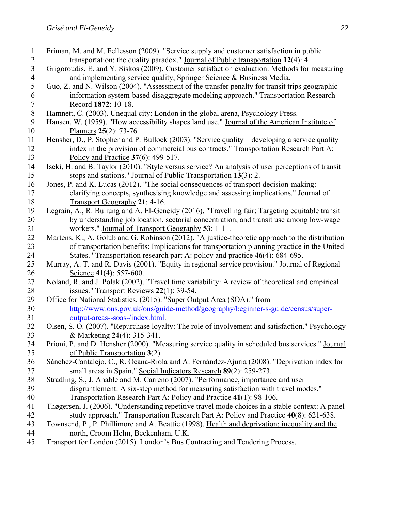| $\mathbf{1}$   | Friman, M. and M. Fellesson (2009). "Service supply and customer satisfaction in public                            |
|----------------|--------------------------------------------------------------------------------------------------------------------|
| $\overline{2}$ | transportation: the quality paradox." Journal of Public transportation 12(4): 4.                                   |
| $\mathfrak{Z}$ | Grigoroudis, E. and Y. Siskos (2009). Customer satisfaction evaluation: Methods for measuring                      |
| $\overline{4}$ | and implementing service quality, Springer Science & Business Media.                                               |
| 5              | Guo, Z. and N. Wilson (2004). "Assessment of the transfer penalty for transit trips geographic                     |
| 6              | information system-based disaggregate modeling approach." Transportation Research                                  |
| $\tau$         | Record 1872: 10-18.                                                                                                |
| $8\,$          | Hamnett, C. (2003). Unequal city: London in the global arena, Psychology Press.                                    |
| 9              | Hansen, W. (1959). "How accessibility shapes land use." Journal of the American Institute of                       |
| 10             | Planners 25(2): 73-76.                                                                                             |
| 11             | Hensher, D., P. Stopher and P. Bullock (2003). "Service quality—developing a service quality                       |
| 12             | index in the provision of commercial bus contracts." Transportation Research Part A:                               |
| 13             | Policy and Practice $37(6)$ : 499-517.                                                                             |
| 14             | Iseki, H. and B. Taylor (2010). "Style versus service? An analysis of user perceptions of transit                  |
| 15             | stops and stations." Journal of Public Transportation 13(3): 2.                                                    |
| 16             | Jones, P. and K. Lucas (2012). "The social consequences of transport decision-making:                              |
| 17             | clarifying concepts, synthesising knowledge and assessing implications." Journal of                                |
| 18             | Transport Geography 21: 4-16.                                                                                      |
| 19             | Legrain, A., R. Buliung and A. El-Geneidy (2016). "Travelling fair: Targeting equitable transit                    |
| 20             | by understanding job location, sectorial concentration, and transit use among low-wage                             |
| 21             | workers." Journal of Transport Geography 53: 1-11.                                                                 |
| 22             | Martens, K., A. Golub and G. Robinson (2012). "A justice-theoretic approach to the distribution                    |
| 23             | of transportation benefits: Implications for transportation planning practice in the United                        |
| 24             | States." Transportation research part A: policy and practice 46(4): 684-695.                                       |
| 25             | Murray, A. T. and R. Davis (2001). "Equity in regional service provision." Journal of Regional                     |
| 26             | Science 41(4): 557-600.                                                                                            |
| 27             | Noland, R. and J. Polak (2002). "Travel time variability: A review of theoretical and empirical                    |
| 28             | issues." Transport Reviews $22(1)$ : 39-54.                                                                        |
| 29             | Office for National Statistics. (2015). "Super Output Area (SOA)." from                                            |
| 30             | http://www.ons.gov.uk/ons/guide-method/geography/beginner-s-guide/census/super-                                    |
| 31             | output-areas--soas-/index.html.                                                                                    |
| 32             | Olsen, S. O. (2007). "Repurchase loyalty: The role of involvement and satisfaction." Psychology                    |
| 33             | & Marketing 24(4): 315-341.                                                                                        |
| 34             | Prioni, P. and D. Hensher (2000). "Measuring service quality in scheduled bus services." Journal                   |
| 35             | of Public Transportation $3(2)$ .                                                                                  |
| 36             | Sánchez-Cantalejo, C., R. Ocana-Riola and A. Fernández-Ajuria (2008). "Deprivation index for                       |
| 37             | small areas in Spain." Social Indicators Research 89(2): 259-273.                                                  |
| 38             | Stradling, S., J. Anable and M. Carreno (2007). "Performance, importance and user                                  |
| 39             | disgruntlement: A six-step method for measuring satisfaction with travel modes."                                   |
| 40             | Transportation Research Part A: Policy and Practice 41(1): 98-106.                                                 |
| 41             | Thøgersen, J. (2006). "Understanding repetitive travel mode choices in a stable context: A panel                   |
| 42             | study approach." Transportation Research Part A: Policy and Practice 40(8): 621-638.                               |
| 43             | Townsend, P., P. Phillimore and A. Beattie (1998). Health and deprivation: inequality and the                      |
| 44<br>45       | north, Croom Helm, Beckenham, U.K.<br>Transport for London (2015). London's Bus Contracting and Tendering Process. |
|                |                                                                                                                    |

45 Transport for London (2015). London's Bus Contracting and Tendering Process.